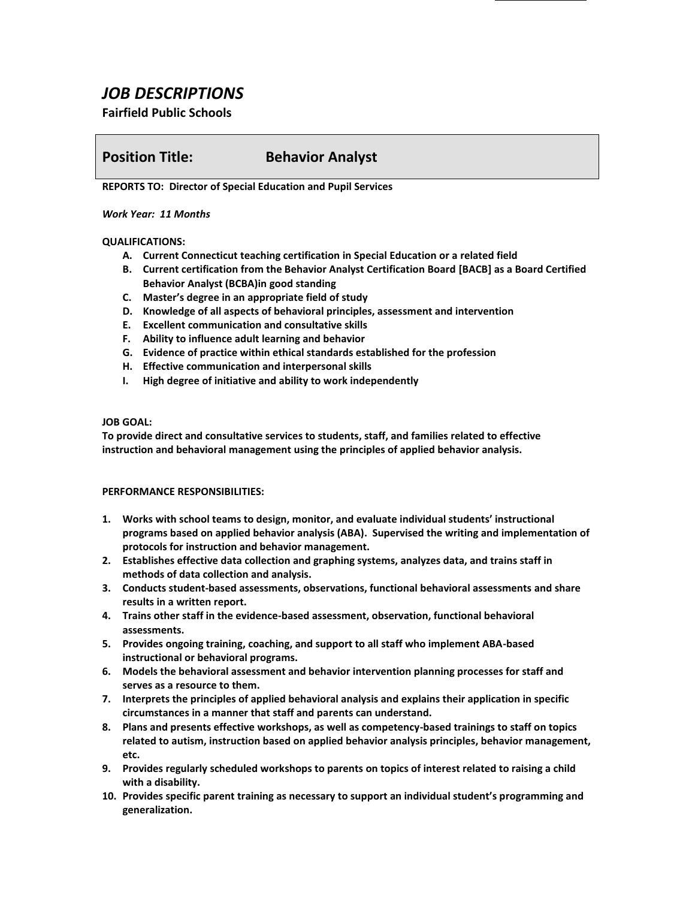# *JOB DESCRIPTIONS*

## **Fairfield Public Schools**

# **Position Title: Behavior Analyst**

**REPORTS TO: Director of Special Education and Pupil Services**

#### *Work Year: 11 Months*

### **QUALIFICATIONS:**

- **A. Current Connecticut teaching certification in Special Education or a related field**
- **B. Current certification from the Behavior Analyst Certification Board [BACB] as a Board Certified Behavior Analyst (BCBA)in good standing**
- **C. Master's degree in an appropriate field of study**
- **D. Knowledge of all aspects of behavioral principles, assessment and intervention**
- **E. Excellent communication and consultative skills**
- **F. Ability to influence adult learning and behavior**
- **G. Evidence of practice within ethical standards established for the profession**
- **H. Effective communication and interpersonal skills**
- **I. High degree of initiative and ability to work independently**

#### **JOB GOAL:**

**To provide direct and consultative services to students, staff, and families related to effective instruction and behavioral management using the principles of applied behavior analysis.**

#### **PERFORMANCE RESPONSIBILITIES:**

- **1. Works with school teams to design, monitor, and evaluate individual students' instructional programs based on applied behavior analysis (ABA). Supervised the writing and implementation of protocols for instruction and behavior management.**
- **2. Establishes effective data collection and graphing systems, analyzes data, and trains staff in methods of data collection and analysis.**
- **3. Conducts student-based assessments, observations, functional behavioral assessments and share results in a written report.**
- **4. Trains other staff in the evidence-based assessment, observation, functional behavioral assessments.**
- **5. Provides ongoing training, coaching, and support to all staff who implement ABA-based instructional or behavioral programs.**
- **6. Models the behavioral assessment and behavior intervention planning processes for staff and serves as a resource to them.**
- **7. Interprets the principles of applied behavioral analysis and explains their application in specific circumstances in a manner that staff and parents can understand.**
- **8. Plans and presents effective workshops, as well as competency-based trainings to staff on topics related to autism, instruction based on applied behavior analysis principles, behavior management, etc.**
- **9. Provides regularly scheduled workshops to parents on topics of interest related to raising a child with a disability.**
- **10. Provides specific parent training as necessary to support an individual student's programming and generalization.**